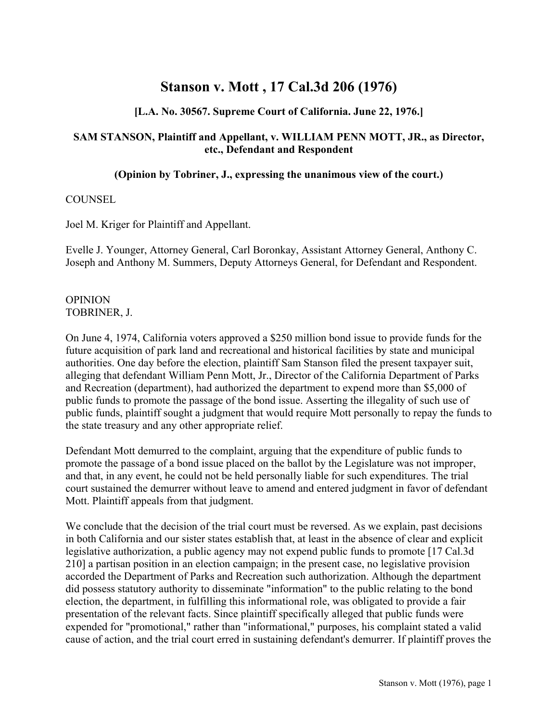# **Stanson v. Mott , 17 Cal.3d 206 (1976)**

# **[L.A. No. 30567. Supreme Court of California. June 22, 1976.]**

# **SAM STANSON, Plaintiff and Appellant, v. WILLIAM PENN MOTT, JR., as Director, etc., Defendant and Respondent**

#### **(Opinion by Tobriner, J., expressing the unanimous view of the court.)**

#### **COUNSEL**

Joel M. Kriger for Plaintiff and Appellant.

Evelle J. Younger, Attorney General, Carl Boronkay, Assistant Attorney General, Anthony C. Joseph and Anthony M. Summers, Deputy Attorneys General, for Defendant and Respondent.

#### **OPINION** TOBRINER, J.

On June 4, 1974, California voters approved a \$250 million bond issue to provide funds for the future acquisition of park land and recreational and historical facilities by state and municipal authorities. One day before the election, plaintiff Sam Stanson filed the present taxpayer suit, alleging that defendant William Penn Mott, Jr., Director of the California Department of Parks and Recreation (department), had authorized the department to expend more than \$5,000 of public funds to promote the passage of the bond issue. Asserting the illegality of such use of public funds, plaintiff sought a judgment that would require Mott personally to repay the funds to the state treasury and any other appropriate relief.

Defendant Mott demurred to the complaint, arguing that the expenditure of public funds to promote the passage of a bond issue placed on the ballot by the Legislature was not improper, and that, in any event, he could not be held personally liable for such expenditures. The trial court sustained the demurrer without leave to amend and entered judgment in favor of defendant Mott. Plaintiff appeals from that judgment.

We conclude that the decision of the trial court must be reversed. As we explain, past decisions in both California and our sister states establish that, at least in the absence of clear and explicit legislative authorization, a public agency may not expend public funds to promote [17 Cal.3d 210] a partisan position in an election campaign; in the present case, no legislative provision accorded the Department of Parks and Recreation such authorization. Although the department did possess statutory authority to disseminate "information" to the public relating to the bond election, the department, in fulfilling this informational role, was obligated to provide a fair presentation of the relevant facts. Since plaintiff specifically alleged that public funds were expended for "promotional," rather than "informational," purposes, his complaint stated a valid cause of action, and the trial court erred in sustaining defendant's demurrer. If plaintiff proves the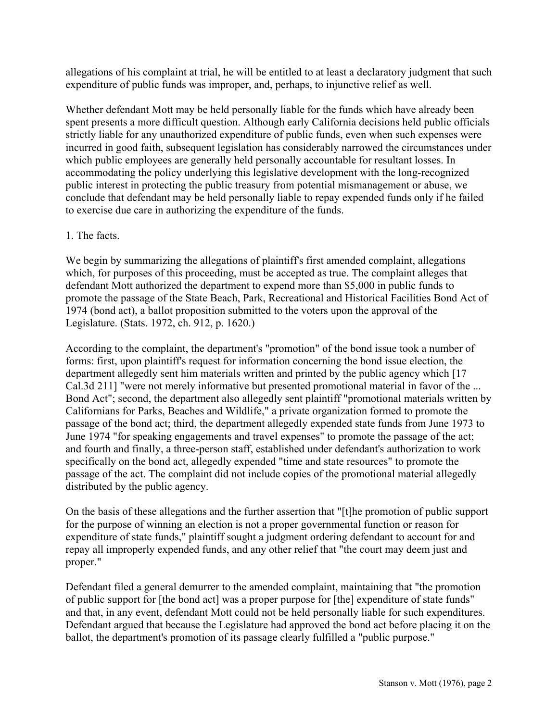allegations of his complaint at trial, he will be entitled to at least a declaratory judgment that such expenditure of public funds was improper, and, perhaps, to injunctive relief as well.

Whether defendant Mott may be held personally liable for the funds which have already been spent presents a more difficult question. Although early California decisions held public officials strictly liable for any unauthorized expenditure of public funds, even when such expenses were incurred in good faith, subsequent legislation has considerably narrowed the circumstances under which public employees are generally held personally accountable for resultant losses. In accommodating the policy underlying this legislative development with the long-recognized public interest in protecting the public treasury from potential mismanagement or abuse, we conclude that defendant may be held personally liable to repay expended funds only if he failed to exercise due care in authorizing the expenditure of the funds.

## 1. The facts.

We begin by summarizing the allegations of plaintiff's first amended complaint, allegations which, for purposes of this proceeding, must be accepted as true. The complaint alleges that defendant Mott authorized the department to expend more than \$5,000 in public funds to promote the passage of the State Beach, Park, Recreational and Historical Facilities Bond Act of 1974 (bond act), a ballot proposition submitted to the voters upon the approval of the Legislature. (Stats. 1972, ch. 912, p. 1620.)

According to the complaint, the department's "promotion" of the bond issue took a number of forms: first, upon plaintiff's request for information concerning the bond issue election, the department allegedly sent him materials written and printed by the public agency which [17 Cal.3d 211] "were not merely informative but presented promotional material in favor of the ... Bond Act"; second, the department also allegedly sent plaintiff "promotional materials written by Californians for Parks, Beaches and Wildlife," a private organization formed to promote the passage of the bond act; third, the department allegedly expended state funds from June 1973 to June 1974 "for speaking engagements and travel expenses" to promote the passage of the act; and fourth and finally, a three-person staff, established under defendant's authorization to work specifically on the bond act, allegedly expended "time and state resources" to promote the passage of the act. The complaint did not include copies of the promotional material allegedly distributed by the public agency.

On the basis of these allegations and the further assertion that "[t]he promotion of public support for the purpose of winning an election is not a proper governmental function or reason for expenditure of state funds," plaintiff sought a judgment ordering defendant to account for and repay all improperly expended funds, and any other relief that "the court may deem just and proper."

Defendant filed a general demurrer to the amended complaint, maintaining that "the promotion of public support for [the bond act] was a proper purpose for [the] expenditure of state funds" and that, in any event, defendant Mott could not be held personally liable for such expenditures. Defendant argued that because the Legislature had approved the bond act before placing it on the ballot, the department's promotion of its passage clearly fulfilled a "public purpose."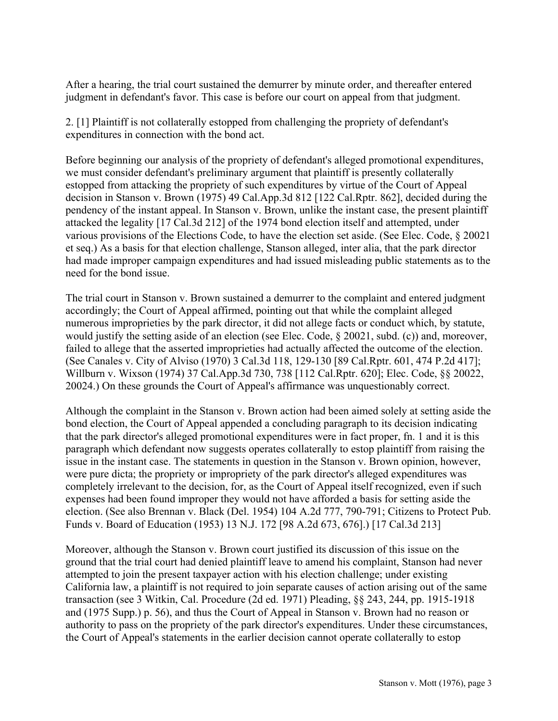After a hearing, the trial court sustained the demurrer by minute order, and thereafter entered judgment in defendant's favor. This case is before our court on appeal from that judgment.

2. [1] Plaintiff is not collaterally estopped from challenging the propriety of defendant's expenditures in connection with the bond act.

Before beginning our analysis of the propriety of defendant's alleged promotional expenditures, we must consider defendant's preliminary argument that plaintiff is presently collaterally estopped from attacking the propriety of such expenditures by virtue of the Court of Appeal decision in Stanson v. Brown (1975) 49 Cal.App.3d 812 [122 Cal.Rptr. 862], decided during the pendency of the instant appeal. In Stanson v. Brown, unlike the instant case, the present plaintiff attacked the legality [17 Cal.3d 212] of the 1974 bond election itself and attempted, under various provisions of the Elections Code, to have the election set aside. (See Elec. Code, ß 20021 et seq.) As a basis for that election challenge, Stanson alleged, inter alia, that the park director had made improper campaign expenditures and had issued misleading public statements as to the need for the bond issue.

The trial court in Stanson v. Brown sustained a demurrer to the complaint and entered judgment accordingly; the Court of Appeal affirmed, pointing out that while the complaint alleged numerous improprieties by the park director, it did not allege facts or conduct which, by statute, would justify the setting aside of an election (see Elec. Code, § 20021, subd. (c)) and, moreover, failed to allege that the asserted improprieties had actually affected the outcome of the election. (See Canales v. City of Alviso (1970) 3 Cal.3d 118, 129-130 [89 Cal.Rptr. 601, 474 P.2d 417]; Willburn v. Wixson (1974) 37 Cal.App.3d 730, 738 [112 Cal.Rptr. 620]; Elec. Code, §§ 20022, 20024.) On these grounds the Court of Appeal's affirmance was unquestionably correct.

Although the complaint in the Stanson v. Brown action had been aimed solely at setting aside the bond election, the Court of Appeal appended a concluding paragraph to its decision indicating that the park director's alleged promotional expenditures were in fact proper, fn. 1 and it is this paragraph which defendant now suggests operates collaterally to estop plaintiff from raising the issue in the instant case. The statements in question in the Stanson v. Brown opinion, however, were pure dicta; the propriety or impropriety of the park director's alleged expenditures was completely irrelevant to the decision, for, as the Court of Appeal itself recognized, even if such expenses had been found improper they would not have afforded a basis for setting aside the election. (See also Brennan v. Black (Del. 1954) 104 A.2d 777, 790-791; Citizens to Protect Pub. Funds v. Board of Education (1953) 13 N.J. 172 [98 A.2d 673, 676].) [17 Cal.3d 213]

Moreover, although the Stanson v. Brown court justified its discussion of this issue on the ground that the trial court had denied plaintiff leave to amend his complaint, Stanson had never attempted to join the present taxpayer action with his election challenge; under existing California law, a plaintiff is not required to join separate causes of action arising out of the same transaction (see 3 Witkin, Cal. Procedure (2d ed. 1971) Pleading, ßß 243, 244, pp. 1915-1918 and (1975 Supp.) p. 56), and thus the Court of Appeal in Stanson v. Brown had no reason or authority to pass on the propriety of the park director's expenditures. Under these circumstances, the Court of Appeal's statements in the earlier decision cannot operate collaterally to estop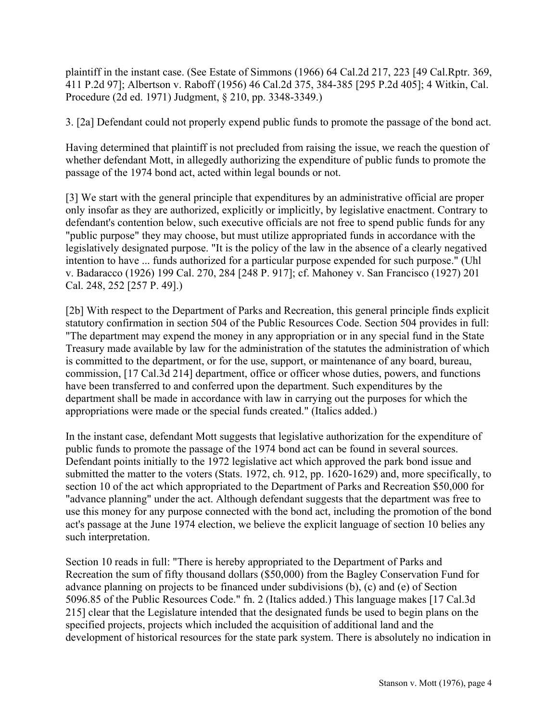plaintiff in the instant case. (See Estate of Simmons (1966) 64 Cal.2d 217, 223 [49 Cal.Rptr. 369, 411 P.2d 97]; Albertson v. Raboff (1956) 46 Cal.2d 375, 384-385 [295 P.2d 405]; 4 Witkin, Cal. Procedure (2d ed. 1971) Judgment, ß 210, pp. 3348-3349.)

3. [2a] Defendant could not properly expend public funds to promote the passage of the bond act.

Having determined that plaintiff is not precluded from raising the issue, we reach the question of whether defendant Mott, in allegedly authorizing the expenditure of public funds to promote the passage of the 1974 bond act, acted within legal bounds or not.

[3] We start with the general principle that expenditures by an administrative official are proper only insofar as they are authorized, explicitly or implicitly, by legislative enactment. Contrary to defendant's contention below, such executive officials are not free to spend public funds for any "public purpose" they may choose, but must utilize appropriated funds in accordance with the legislatively designated purpose. "It is the policy of the law in the absence of a clearly negatived intention to have ... funds authorized for a particular purpose expended for such purpose." (Uhl v. Badaracco (1926) 199 Cal. 270, 284 [248 P. 917]; cf. Mahoney v. San Francisco (1927) 201 Cal. 248, 252 [257 P. 49].)

[2b] With respect to the Department of Parks and Recreation, this general principle finds explicit statutory confirmation in section 504 of the Public Resources Code. Section 504 provides in full: "The department may expend the money in any appropriation or in any special fund in the State Treasury made available by law for the administration of the statutes the administration of which is committed to the department, or for the use, support, or maintenance of any board, bureau, commission, [17 Cal.3d 214] department, office or officer whose duties, powers, and functions have been transferred to and conferred upon the department. Such expenditures by the department shall be made in accordance with law in carrying out the purposes for which the appropriations were made or the special funds created." (Italics added.)

In the instant case, defendant Mott suggests that legislative authorization for the expenditure of public funds to promote the passage of the 1974 bond act can be found in several sources. Defendant points initially to the 1972 legislative act which approved the park bond issue and submitted the matter to the voters (Stats. 1972, ch. 912, pp. 1620-1629) and, more specifically, to section 10 of the act which appropriated to the Department of Parks and Recreation \$50,000 for "advance planning" under the act. Although defendant suggests that the department was free to use this money for any purpose connected with the bond act, including the promotion of the bond act's passage at the June 1974 election, we believe the explicit language of section 10 belies any such interpretation.

Section 10 reads in full: "There is hereby appropriated to the Department of Parks and Recreation the sum of fifty thousand dollars (\$50,000) from the Bagley Conservation Fund for advance planning on projects to be financed under subdivisions (b), (c) and (e) of Section 5096.85 of the Public Resources Code." fn. 2 (Italics added.) This language makes [17 Cal.3d 215] clear that the Legislature intended that the designated funds be used to begin plans on the specified projects, projects which included the acquisition of additional land and the development of historical resources for the state park system. There is absolutely no indication in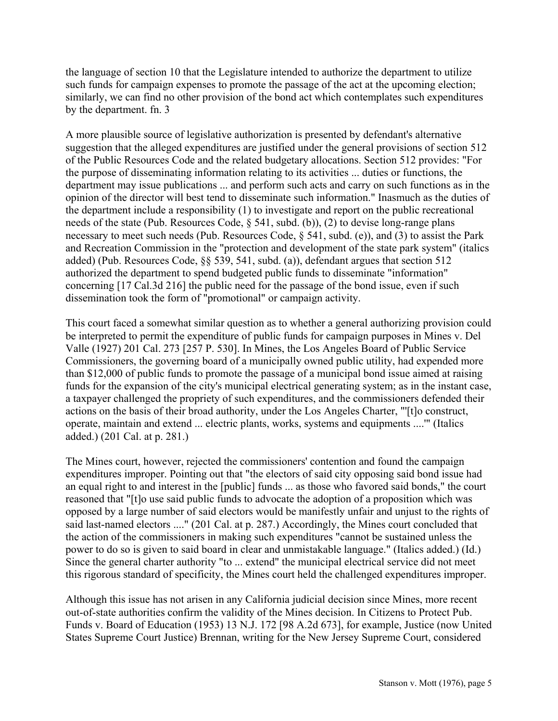the language of section 10 that the Legislature intended to authorize the department to utilize such funds for campaign expenses to promote the passage of the act at the upcoming election; similarly, we can find no other provision of the bond act which contemplates such expenditures by the department. fn. 3

A more plausible source of legislative authorization is presented by defendant's alternative suggestion that the alleged expenditures are justified under the general provisions of section 512 of the Public Resources Code and the related budgetary allocations. Section 512 provides: "For the purpose of disseminating information relating to its activities ... duties or functions, the department may issue publications ... and perform such acts and carry on such functions as in the opinion of the director will best tend to disseminate such information." Inasmuch as the duties of the department include a responsibility (1) to investigate and report on the public recreational needs of the state (Pub. Resources Code, ß 541, subd. (b)), (2) to devise long-range plans necessary to meet such needs (Pub. Resources Code, § 541, subd. (e)), and (3) to assist the Park and Recreation Commission in the "protection and development of the state park system" (italics added) (Pub. Resources Code,  $\S$ § 539, 541, subd. (a)), defendant argues that section 512 authorized the department to spend budgeted public funds to disseminate "information" concerning [17 Cal.3d 216] the public need for the passage of the bond issue, even if such dissemination took the form of "promotional" or campaign activity.

This court faced a somewhat similar question as to whether a general authorizing provision could be interpreted to permit the expenditure of public funds for campaign purposes in Mines v. Del Valle (1927) 201 Cal. 273 [257 P. 530]. In Mines, the Los Angeles Board of Public Service Commissioners, the governing board of a municipally owned public utility, had expended more than \$12,000 of public funds to promote the passage of a municipal bond issue aimed at raising funds for the expansion of the city's municipal electrical generating system; as in the instant case, a taxpayer challenged the propriety of such expenditures, and the commissioners defended their actions on the basis of their broad authority, under the Los Angeles Charter, "'[t]o construct, operate, maintain and extend ... electric plants, works, systems and equipments ....'" (Italics added.) (201 Cal. at p. 281.)

The Mines court, however, rejected the commissioners' contention and found the campaign expenditures improper. Pointing out that "the electors of said city opposing said bond issue had an equal right to and interest in the [public] funds ... as those who favored said bonds," the court reasoned that "[t]o use said public funds to advocate the adoption of a proposition which was opposed by a large number of said electors would be manifestly unfair and unjust to the rights of said last-named electors ...." (201 Cal. at p. 287.) Accordingly, the Mines court concluded that the action of the commissioners in making such expenditures "cannot be sustained unless the power to do so is given to said board in clear and unmistakable language." (Italics added.) (Id.) Since the general charter authority "to ... extend" the municipal electrical service did not meet this rigorous standard of specificity, the Mines court held the challenged expenditures improper.

Although this issue has not arisen in any California judicial decision since Mines, more recent out-of-state authorities confirm the validity of the Mines decision. In Citizens to Protect Pub. Funds v. Board of Education (1953) 13 N.J. 172 [98 A.2d 673], for example, Justice (now United States Supreme Court Justice) Brennan, writing for the New Jersey Supreme Court, considered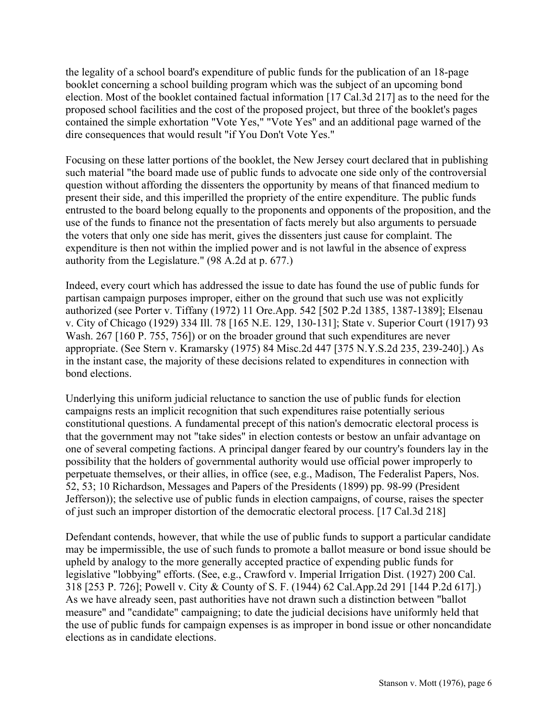the legality of a school board's expenditure of public funds for the publication of an 18-page booklet concerning a school building program which was the subject of an upcoming bond election. Most of the booklet contained factual information [17 Cal.3d 217] as to the need for the proposed school facilities and the cost of the proposed project, but three of the booklet's pages contained the simple exhortation "Vote Yes," "Vote Yes" and an additional page warned of the dire consequences that would result "if You Don't Vote Yes."

Focusing on these latter portions of the booklet, the New Jersey court declared that in publishing such material "the board made use of public funds to advocate one side only of the controversial question without affording the dissenters the opportunity by means of that financed medium to present their side, and this imperilled the propriety of the entire expenditure. The public funds entrusted to the board belong equally to the proponents and opponents of the proposition, and the use of the funds to finance not the presentation of facts merely but also arguments to persuade the voters that only one side has merit, gives the dissenters just cause for complaint. The expenditure is then not within the implied power and is not lawful in the absence of express authority from the Legislature." (98 A.2d at p. 677.)

Indeed, every court which has addressed the issue to date has found the use of public funds for partisan campaign purposes improper, either on the ground that such use was not explicitly authorized (see Porter v. Tiffany (1972) 11 Ore.App. 542 [502 P.2d 1385, 1387-1389]; Elsenau v. City of Chicago (1929) 334 Ill. 78 [165 N.E. 129, 130-131]; State v. Superior Court (1917) 93 Wash. 267 [160 P. 755, 756]) or on the broader ground that such expenditures are never appropriate. (See Stern v. Kramarsky (1975) 84 Misc.2d 447 [375 N.Y.S.2d 235, 239-240].) As in the instant case, the majority of these decisions related to expenditures in connection with bond elections.

Underlying this uniform judicial reluctance to sanction the use of public funds for election campaigns rests an implicit recognition that such expenditures raise potentially serious constitutional questions. A fundamental precept of this nation's democratic electoral process is that the government may not "take sides" in election contests or bestow an unfair advantage on one of several competing factions. A principal danger feared by our country's founders lay in the possibility that the holders of governmental authority would use official power improperly to perpetuate themselves, or their allies, in office (see, e.g., Madison, The Federalist Papers, Nos. 52, 53; 10 Richardson, Messages and Papers of the Presidents (1899) pp. 98-99 (President Jefferson)); the selective use of public funds in election campaigns, of course, raises the specter of just such an improper distortion of the democratic electoral process. [17 Cal.3d 218]

Defendant contends, however, that while the use of public funds to support a particular candidate may be impermissible, the use of such funds to promote a ballot measure or bond issue should be upheld by analogy to the more generally accepted practice of expending public funds for legislative "lobbying" efforts. (See, e.g., Crawford v. Imperial Irrigation Dist. (1927) 200 Cal. 318 [253 P. 726]; Powell v. City & County of S. F. (1944) 62 Cal.App.2d 291 [144 P.2d 617].) As we have already seen, past authorities have not drawn such a distinction between "ballot measure" and "candidate" campaigning; to date the judicial decisions have uniformly held that the use of public funds for campaign expenses is as improper in bond issue or other noncandidate elections as in candidate elections.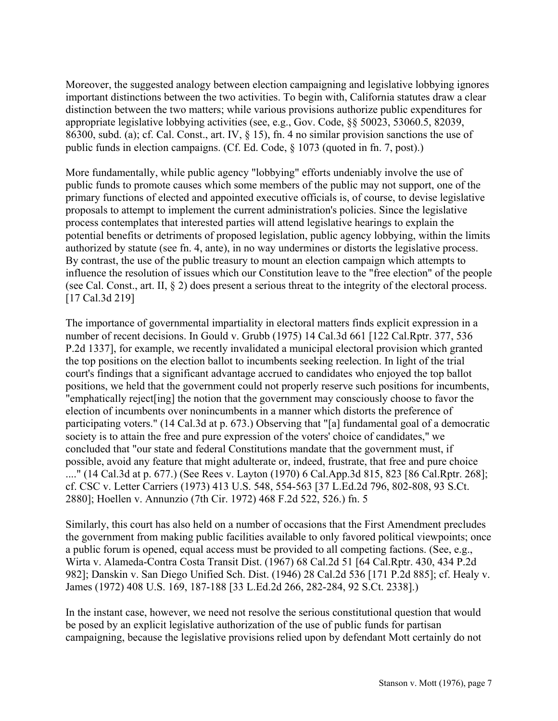Moreover, the suggested analogy between election campaigning and legislative lobbying ignores important distinctions between the two activities. To begin with, California statutes draw a clear distinction between the two matters; while various provisions authorize public expenditures for appropriate legislative lobbying activities (see, e.g., Gov. Code, ßß 50023, 53060.5, 82039, 86300, subd. (a); cf. Cal. Const., art. IV, ß 15), fn. 4 no similar provision sanctions the use of public funds in election campaigns. (Cf. Ed. Code, ß 1073 (quoted in fn. 7, post).)

More fundamentally, while public agency "lobbying" efforts undeniably involve the use of public funds to promote causes which some members of the public may not support, one of the primary functions of elected and appointed executive officials is, of course, to devise legislative proposals to attempt to implement the current administration's policies. Since the legislative process contemplates that interested parties will attend legislative hearings to explain the potential benefits or detriments of proposed legislation, public agency lobbying, within the limits authorized by statute (see fn. 4, ante), in no way undermines or distorts the legislative process. By contrast, the use of the public treasury to mount an election campaign which attempts to influence the resolution of issues which our Constitution leave to the "free election" of the people (see Cal. Const., art. II, ß 2) does present a serious threat to the integrity of the electoral process. [17 Cal.3d 219]

The importance of governmental impartiality in electoral matters finds explicit expression in a number of recent decisions. In Gould v. Grubb (1975) 14 Cal.3d 661 [122 Cal.Rptr. 377, 536 P.2d 1337], for example, we recently invalidated a municipal electoral provision which granted the top positions on the election ballot to incumbents seeking reelection. In light of the trial court's findings that a significant advantage accrued to candidates who enjoyed the top ballot positions, we held that the government could not properly reserve such positions for incumbents, "emphatically reject[ing] the notion that the government may consciously choose to favor the election of incumbents over nonincumbents in a manner which distorts the preference of participating voters." (14 Cal.3d at p. 673.) Observing that "[a] fundamental goal of a democratic society is to attain the free and pure expression of the voters' choice of candidates," we concluded that "our state and federal Constitutions mandate that the government must, if possible, avoid any feature that might adulterate or, indeed, frustrate, that free and pure choice ...." (14 Cal.3d at p. 677.) (See Rees v. Layton (1970) 6 Cal.App.3d 815, 823 [86 Cal.Rptr. 268]; cf. CSC v. Letter Carriers (1973) 413 U.S. 548, 554-563 [37 L.Ed.2d 796, 802-808, 93 S.Ct. 2880]; Hoellen v. Annunzio (7th Cir. 1972) 468 F.2d 522, 526.) fn. 5

Similarly, this court has also held on a number of occasions that the First Amendment precludes the government from making public facilities available to only favored political viewpoints; once a public forum is opened, equal access must be provided to all competing factions. (See, e.g., Wirta v. Alameda-Contra Costa Transit Dist. (1967) 68 Cal.2d 51 [64 Cal.Rptr. 430, 434 P.2d 982]; Danskin v. San Diego Unified Sch. Dist. (1946) 28 Cal.2d 536 [171 P.2d 885]; cf. Healy v. James (1972) 408 U.S. 169, 187-188 [33 L.Ed.2d 266, 282-284, 92 S.Ct. 2338].)

In the instant case, however, we need not resolve the serious constitutional question that would be posed by an explicit legislative authorization of the use of public funds for partisan campaigning, because the legislative provisions relied upon by defendant Mott certainly do not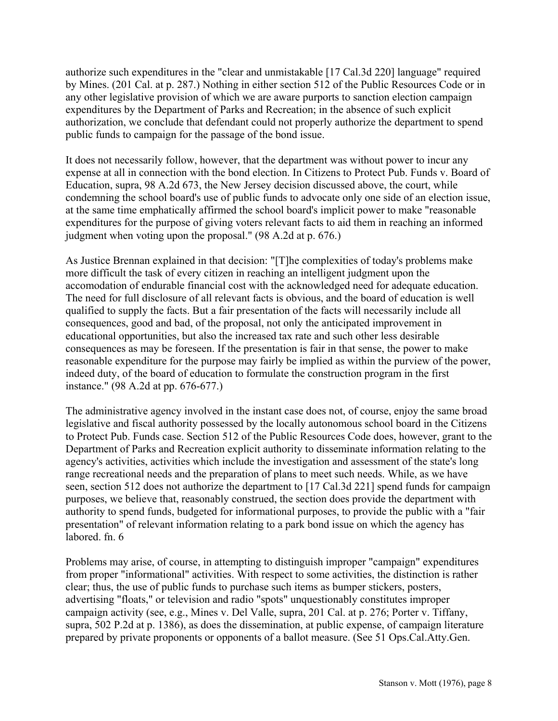authorize such expenditures in the "clear and unmistakable [17 Cal.3d 220] language" required by Mines. (201 Cal. at p. 287.) Nothing in either section 512 of the Public Resources Code or in any other legislative provision of which we are aware purports to sanction election campaign expenditures by the Department of Parks and Recreation; in the absence of such explicit authorization, we conclude that defendant could not properly authorize the department to spend public funds to campaign for the passage of the bond issue.

It does not necessarily follow, however, that the department was without power to incur any expense at all in connection with the bond election. In Citizens to Protect Pub. Funds v. Board of Education, supra, 98 A.2d 673, the New Jersey decision discussed above, the court, while condemning the school board's use of public funds to advocate only one side of an election issue, at the same time emphatically affirmed the school board's implicit power to make "reasonable expenditures for the purpose of giving voters relevant facts to aid them in reaching an informed judgment when voting upon the proposal." (98 A.2d at p. 676.)

As Justice Brennan explained in that decision: "[T]he complexities of today's problems make more difficult the task of every citizen in reaching an intelligent judgment upon the accomodation of endurable financial cost with the acknowledged need for adequate education. The need for full disclosure of all relevant facts is obvious, and the board of education is well qualified to supply the facts. But a fair presentation of the facts will necessarily include all consequences, good and bad, of the proposal, not only the anticipated improvement in educational opportunities, but also the increased tax rate and such other less desirable consequences as may be foreseen. If the presentation is fair in that sense, the power to make reasonable expenditure for the purpose may fairly be implied as within the purview of the power, indeed duty, of the board of education to formulate the construction program in the first instance." (98 A.2d at pp. 676-677.)

The administrative agency involved in the instant case does not, of course, enjoy the same broad legislative and fiscal authority possessed by the locally autonomous school board in the Citizens to Protect Pub. Funds case. Section 512 of the Public Resources Code does, however, grant to the Department of Parks and Recreation explicit authority to disseminate information relating to the agency's activities, activities which include the investigation and assessment of the state's long range recreational needs and the preparation of plans to meet such needs. While, as we have seen, section 512 does not authorize the department to [17 Cal.3d 221] spend funds for campaign purposes, we believe that, reasonably construed, the section does provide the department with authority to spend funds, budgeted for informational purposes, to provide the public with a "fair presentation" of relevant information relating to a park bond issue on which the agency has labored. fn. 6

Problems may arise, of course, in attempting to distinguish improper "campaign" expenditures from proper "informational" activities. With respect to some activities, the distinction is rather clear; thus, the use of public funds to purchase such items as bumper stickers, posters, advertising "floats," or television and radio "spots" unquestionably constitutes improper campaign activity (see, e.g., Mines v. Del Valle, supra, 201 Cal. at p. 276; Porter v. Tiffany, supra, 502 P.2d at p. 1386), as does the dissemination, at public expense, of campaign literature prepared by private proponents or opponents of a ballot measure. (See 51 Ops.Cal.Atty.Gen.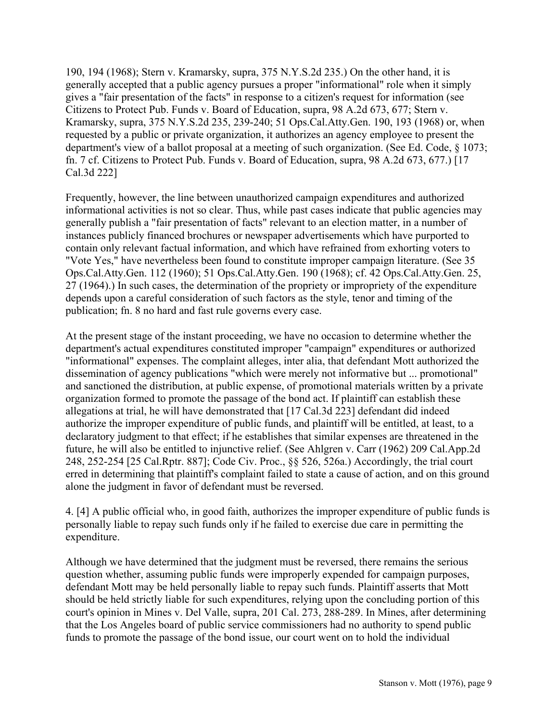190, 194 (1968); Stern v. Kramarsky, supra, 375 N.Y.S.2d 235.) On the other hand, it is generally accepted that a public agency pursues a proper "informational" role when it simply gives a "fair presentation of the facts" in response to a citizen's request for information (see Citizens to Protect Pub. Funds v. Board of Education, supra, 98 A.2d 673, 677; Stern v. Kramarsky, supra, 375 N.Y.S.2d 235, 239-240; 51 Ops.Cal.Atty.Gen. 190, 193 (1968) or, when requested by a public or private organization, it authorizes an agency employee to present the department's view of a ballot proposal at a meeting of such organization. (See Ed. Code, § 1073; fn. 7 cf. Citizens to Protect Pub. Funds v. Board of Education, supra, 98 A.2d 673, 677.) [17 Cal.3d 222]

Frequently, however, the line between unauthorized campaign expenditures and authorized informational activities is not so clear. Thus, while past cases indicate that public agencies may generally publish a "fair presentation of facts" relevant to an election matter, in a number of instances publicly financed brochures or newspaper advertisements which have purported to contain only relevant factual information, and which have refrained from exhorting voters to "Vote Yes," have nevertheless been found to constitute improper campaign literature. (See 35 Ops.Cal.Atty.Gen. 112 (1960); 51 Ops.Cal.Atty.Gen. 190 (1968); cf. 42 Ops.Cal.Atty.Gen. 25, 27 (1964).) In such cases, the determination of the propriety or impropriety of the expenditure depends upon a careful consideration of such factors as the style, tenor and timing of the publication; fn. 8 no hard and fast rule governs every case.

At the present stage of the instant proceeding, we have no occasion to determine whether the department's actual expenditures constituted improper "campaign" expenditures or authorized "informational" expenses. The complaint alleges, inter alia, that defendant Mott authorized the dissemination of agency publications "which were merely not informative but ... promotional" and sanctioned the distribution, at public expense, of promotional materials written by a private organization formed to promote the passage of the bond act. If plaintiff can establish these allegations at trial, he will have demonstrated that [17 Cal.3d 223] defendant did indeed authorize the improper expenditure of public funds, and plaintiff will be entitled, at least, to a declaratory judgment to that effect; if he establishes that similar expenses are threatened in the future, he will also be entitled to injunctive relief. (See Ahlgren v. Carr (1962) 209 Cal.App.2d 248, 252-254 [25 Cal.Rptr. 887]; Code Civ. Proc., ßß 526, 526a.) Accordingly, the trial court erred in determining that plaintiff's complaint failed to state a cause of action, and on this ground alone the judgment in favor of defendant must be reversed.

4. [4] A public official who, in good faith, authorizes the improper expenditure of public funds is personally liable to repay such funds only if he failed to exercise due care in permitting the expenditure.

Although we have determined that the judgment must be reversed, there remains the serious question whether, assuming public funds were improperly expended for campaign purposes, defendant Mott may be held personally liable to repay such funds. Plaintiff asserts that Mott should be held strictly liable for such expenditures, relying upon the concluding portion of this court's opinion in Mines v. Del Valle, supra, 201 Cal. 273, 288-289. In Mines, after determining that the Los Angeles board of public service commissioners had no authority to spend public funds to promote the passage of the bond issue, our court went on to hold the individual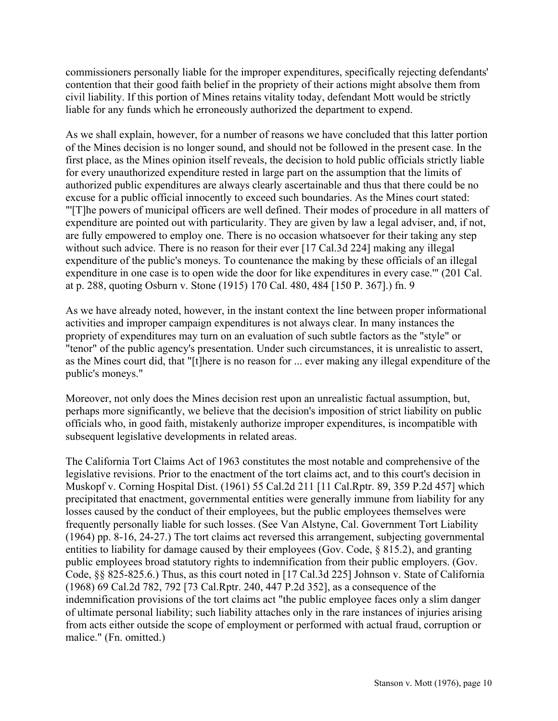commissioners personally liable for the improper expenditures, specifically rejecting defendants' contention that their good faith belief in the propriety of their actions might absolve them from civil liability. If this portion of Mines retains vitality today, defendant Mott would be strictly liable for any funds which he erroneously authorized the department to expend.

As we shall explain, however, for a number of reasons we have concluded that this latter portion of the Mines decision is no longer sound, and should not be followed in the present case. In the first place, as the Mines opinion itself reveals, the decision to hold public officials strictly liable for every unauthorized expenditure rested in large part on the assumption that the limits of authorized public expenditures are always clearly ascertainable and thus that there could be no excuse for a public official innocently to exceed such boundaries. As the Mines court stated: "'[T]he powers of municipal officers are well defined. Their modes of procedure in all matters of expenditure are pointed out with particularity. They are given by law a legal adviser, and, if not, are fully empowered to employ one. There is no occasion whatsoever for their taking any step without such advice. There is no reason for their ever [17 Cal.3d 224] making any illegal expenditure of the public's moneys. To countenance the making by these officials of an illegal expenditure in one case is to open wide the door for like expenditures in every case.'" (201 Cal. at p. 288, quoting Osburn v. Stone (1915) 170 Cal. 480, 484 [150 P. 367].) fn. 9

As we have already noted, however, in the instant context the line between proper informational activities and improper campaign expenditures is not always clear. In many instances the propriety of expenditures may turn on an evaluation of such subtle factors as the "style" or "tenor" of the public agency's presentation. Under such circumstances, it is unrealistic to assert, as the Mines court did, that "[t]here is no reason for ... ever making any illegal expenditure of the public's moneys."

Moreover, not only does the Mines decision rest upon an unrealistic factual assumption, but, perhaps more significantly, we believe that the decision's imposition of strict liability on public officials who, in good faith, mistakenly authorize improper expenditures, is incompatible with subsequent legislative developments in related areas.

The California Tort Claims Act of 1963 constitutes the most notable and comprehensive of the legislative revisions. Prior to the enactment of the tort claims act, and to this court's decision in Muskopf v. Corning Hospital Dist. (1961) 55 Cal.2d 211 [11 Cal.Rptr. 89, 359 P.2d 457] which precipitated that enactment, governmental entities were generally immune from liability for any losses caused by the conduct of their employees, but the public employees themselves were frequently personally liable for such losses. (See Van Alstyne, Cal. Government Tort Liability (1964) pp. 8-16, 24-27.) The tort claims act reversed this arrangement, subjecting governmental entities to liability for damage caused by their employees (Gov. Code, ß 815.2), and granting public employees broad statutory rights to indemnification from their public employers. (Gov. Code, ßß 825-825.6.) Thus, as this court noted in [17 Cal.3d 225] Johnson v. State of California (1968) 69 Cal.2d 782, 792 [73 Cal.Rptr. 240, 447 P.2d 352], as a consequence of the indemnification provisions of the tort claims act "the public employee faces only a slim danger of ultimate personal liability; such liability attaches only in the rare instances of injuries arising from acts either outside the scope of employment or performed with actual fraud, corruption or malice." (Fn. omitted.)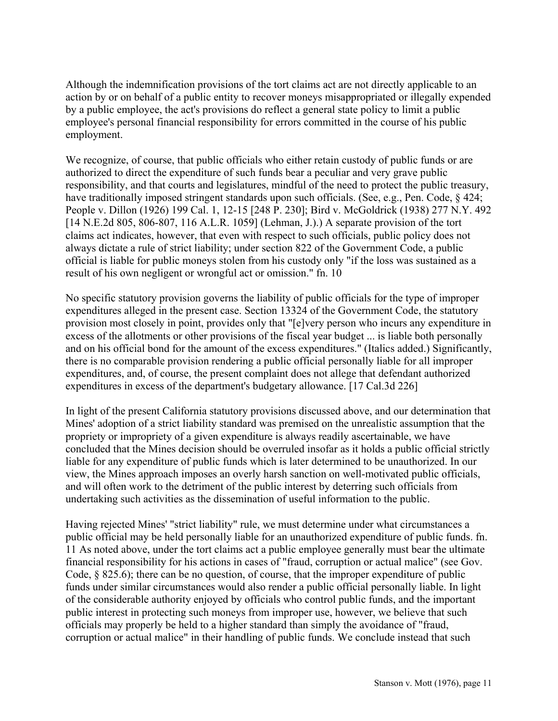Although the indemnification provisions of the tort claims act are not directly applicable to an action by or on behalf of a public entity to recover moneys misappropriated or illegally expended by a public employee, the act's provisions do reflect a general state policy to limit a public employee's personal financial responsibility for errors committed in the course of his public employment.

We recognize, of course, that public officials who either retain custody of public funds or are authorized to direct the expenditure of such funds bear a peculiar and very grave public responsibility, and that courts and legislatures, mindful of the need to protect the public treasury, have traditionally imposed stringent standards upon such officials. (See, e.g., Pen. Code, § 424; People v. Dillon (1926) 199 Cal. 1, 12-15 [248 P. 230]; Bird v. McGoldrick (1938) 277 N.Y. 492 [14 N.E.2d 805, 806-807, 116 A.L.R. 1059] (Lehman, J.).) A separate provision of the tort claims act indicates, however, that even with respect to such officials, public policy does not always dictate a rule of strict liability; under section 822 of the Government Code, a public official is liable for public moneys stolen from his custody only "if the loss was sustained as a result of his own negligent or wrongful act or omission." fn. 10

No specific statutory provision governs the liability of public officials for the type of improper expenditures alleged in the present case. Section 13324 of the Government Code, the statutory provision most closely in point, provides only that "[e]very person who incurs any expenditure in excess of the allotments or other provisions of the fiscal year budget ... is liable both personally and on his official bond for the amount of the excess expenditures." (Italics added.) Significantly, there is no comparable provision rendering a public official personally liable for all improper expenditures, and, of course, the present complaint does not allege that defendant authorized expenditures in excess of the department's budgetary allowance. [17 Cal.3d 226]

In light of the present California statutory provisions discussed above, and our determination that Mines' adoption of a strict liability standard was premised on the unrealistic assumption that the propriety or impropriety of a given expenditure is always readily ascertainable, we have concluded that the Mines decision should be overruled insofar as it holds a public official strictly liable for any expenditure of public funds which is later determined to be unauthorized. In our view, the Mines approach imposes an overly harsh sanction on well-motivated public officials, and will often work to the detriment of the public interest by deterring such officials from undertaking such activities as the dissemination of useful information to the public.

Having rejected Mines' "strict liability" rule, we must determine under what circumstances a public official may be held personally liable for an unauthorized expenditure of public funds. fn. 11 As noted above, under the tort claims act a public employee generally must bear the ultimate financial responsibility for his actions in cases of "fraud, corruption or actual malice" (see Gov. Code, ß 825.6); there can be no question, of course, that the improper expenditure of public funds under similar circumstances would also render a public official personally liable. In light of the considerable authority enjoyed by officials who control public funds, and the important public interest in protecting such moneys from improper use, however, we believe that such officials may properly be held to a higher standard than simply the avoidance of "fraud, corruption or actual malice" in their handling of public funds. We conclude instead that such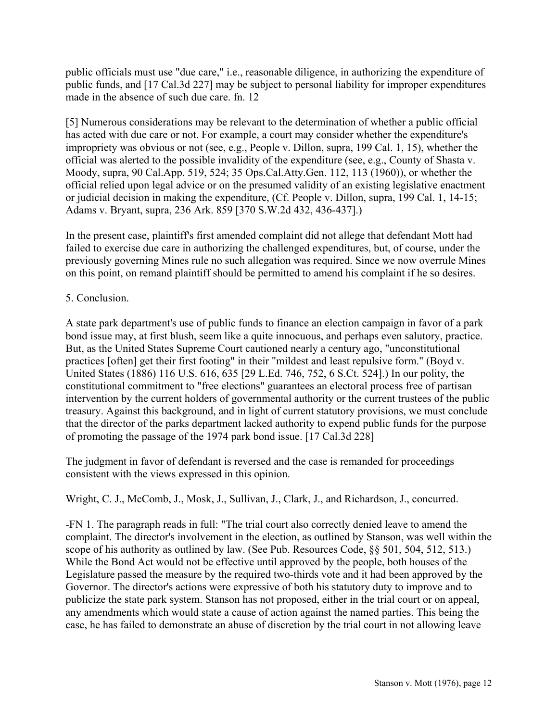public officials must use "due care," i.e., reasonable diligence, in authorizing the expenditure of public funds, and [17 Cal.3d 227] may be subject to personal liability for improper expenditures made in the absence of such due care. fn. 12

[5] Numerous considerations may be relevant to the determination of whether a public official has acted with due care or not. For example, a court may consider whether the expenditure's impropriety was obvious or not (see, e.g., People v. Dillon, supra, 199 Cal. 1, 15), whether the official was alerted to the possible invalidity of the expenditure (see, e.g., County of Shasta v. Moody, supra, 90 Cal.App. 519, 524; 35 Ops.Cal.Atty.Gen. 112, 113 (1960)), or whether the official relied upon legal advice or on the presumed validity of an existing legislative enactment or judicial decision in making the expenditure, (Cf. People v. Dillon, supra, 199 Cal. 1, 14-15; Adams v. Bryant, supra, 236 Ark. 859 [370 S.W.2d 432, 436-437].)

In the present case, plaintiff's first amended complaint did not allege that defendant Mott had failed to exercise due care in authorizing the challenged expenditures, but, of course, under the previously governing Mines rule no such allegation was required. Since we now overrule Mines on this point, on remand plaintiff should be permitted to amend his complaint if he so desires.

# 5. Conclusion.

A state park department's use of public funds to finance an election campaign in favor of a park bond issue may, at first blush, seem like a quite innocuous, and perhaps even salutory, practice. But, as the United States Supreme Court cautioned nearly a century ago, "unconstitutional practices [often] get their first footing" in their "mildest and least repulsive form." (Boyd v. United States (1886) 116 U.S. 616, 635 [29 L.Ed. 746, 752, 6 S.Ct. 524].) In our polity, the constitutional commitment to "free elections" guarantees an electoral process free of partisan intervention by the current holders of governmental authority or the current trustees of the public treasury. Against this background, and in light of current statutory provisions, we must conclude that the director of the parks department lacked authority to expend public funds for the purpose of promoting the passage of the 1974 park bond issue. [17 Cal.3d 228]

The judgment in favor of defendant is reversed and the case is remanded for proceedings consistent with the views expressed in this opinion.

# Wright, C. J., McComb, J., Mosk, J., Sullivan, J., Clark, J., and Richardson, J., concurred.

-FN 1. The paragraph reads in full: "The trial court also correctly denied leave to amend the complaint. The director's involvement in the election, as outlined by Stanson, was well within the scope of his authority as outlined by law. (See Pub. Resources Code, §§ 501, 504, 512, 513.) While the Bond Act would not be effective until approved by the people, both houses of the Legislature passed the measure by the required two-thirds vote and it had been approved by the Governor. The director's actions were expressive of both his statutory duty to improve and to publicize the state park system. Stanson has not proposed, either in the trial court or on appeal, any amendments which would state a cause of action against the named parties. This being the case, he has failed to demonstrate an abuse of discretion by the trial court in not allowing leave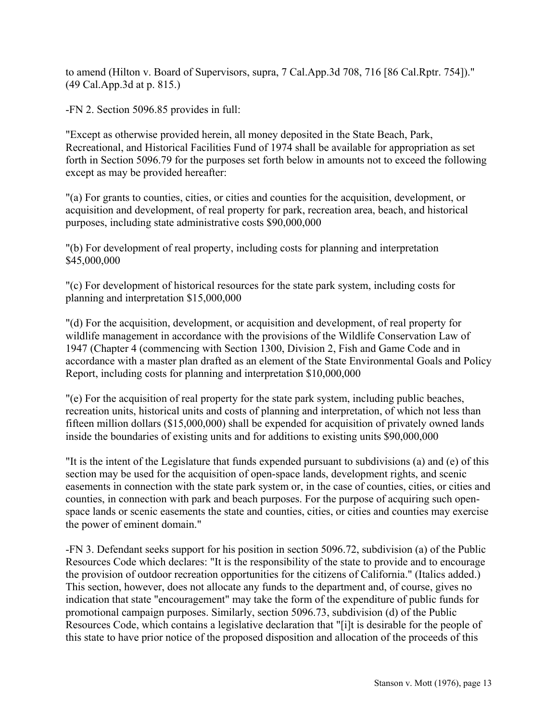to amend (Hilton v. Board of Supervisors, supra, 7 Cal.App.3d 708, 716 [86 Cal.Rptr. 754])." (49 Cal.App.3d at p. 815.)

-FN 2. Section 5096.85 provides in full:

"Except as otherwise provided herein, all money deposited in the State Beach, Park, Recreational, and Historical Facilities Fund of 1974 shall be available for appropriation as set forth in Section 5096.79 for the purposes set forth below in amounts not to exceed the following except as may be provided hereafter:

"(a) For grants to counties, cities, or cities and counties for the acquisition, development, or acquisition and development, of real property for park, recreation area, beach, and historical purposes, including state administrative costs \$90,000,000

"(b) For development of real property, including costs for planning and interpretation \$45,000,000

"(c) For development of historical resources for the state park system, including costs for planning and interpretation \$15,000,000

"(d) For the acquisition, development, or acquisition and development, of real property for wildlife management in accordance with the provisions of the Wildlife Conservation Law of 1947 (Chapter 4 (commencing with Section 1300, Division 2, Fish and Game Code and in accordance with a master plan drafted as an element of the State Environmental Goals and Policy Report, including costs for planning and interpretation \$10,000,000

"(e) For the acquisition of real property for the state park system, including public beaches, recreation units, historical units and costs of planning and interpretation, of which not less than fifteen million dollars (\$15,000,000) shall be expended for acquisition of privately owned lands inside the boundaries of existing units and for additions to existing units \$90,000,000

"It is the intent of the Legislature that funds expended pursuant to subdivisions (a) and (e) of this section may be used for the acquisition of open-space lands, development rights, and scenic easements in connection with the state park system or, in the case of counties, cities, or cities and counties, in connection with park and beach purposes. For the purpose of acquiring such openspace lands or scenic easements the state and counties, cities, or cities and counties may exercise the power of eminent domain."

-FN 3. Defendant seeks support for his position in section 5096.72, subdivision (a) of the Public Resources Code which declares: "It is the responsibility of the state to provide and to encourage the provision of outdoor recreation opportunities for the citizens of California." (Italics added.) This section, however, does not allocate any funds to the department and, of course, gives no indication that state "encouragement" may take the form of the expenditure of public funds for promotional campaign purposes. Similarly, section 5096.73, subdivision (d) of the Public Resources Code, which contains a legislative declaration that "[i]t is desirable for the people of this state to have prior notice of the proposed disposition and allocation of the proceeds of this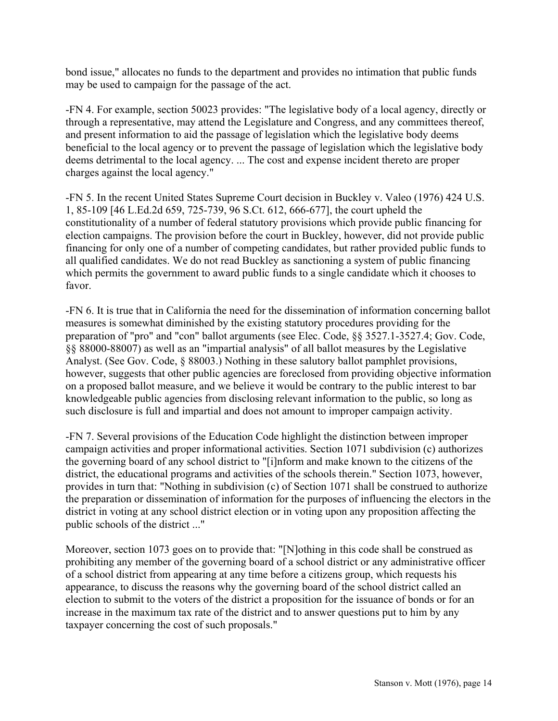bond issue," allocates no funds to the department and provides no intimation that public funds may be used to campaign for the passage of the act.

-FN 4. For example, section 50023 provides: "The legislative body of a local agency, directly or through a representative, may attend the Legislature and Congress, and any committees thereof, and present information to aid the passage of legislation which the legislative body deems beneficial to the local agency or to prevent the passage of legislation which the legislative body deems detrimental to the local agency. ... The cost and expense incident thereto are proper charges against the local agency."

-FN 5. In the recent United States Supreme Court decision in Buckley v. Valeo (1976) 424 U.S. 1, 85-109 [46 L.Ed.2d 659, 725-739, 96 S.Ct. 612, 666-677], the court upheld the constitutionality of a number of federal statutory provisions which provide public financing for election campaigns. The provision before the court in Buckley, however, did not provide public financing for only one of a number of competing candidates, but rather provided public funds to all qualified candidates. We do not read Buckley as sanctioning a system of public financing which permits the government to award public funds to a single candidate which it chooses to favor.

-FN 6. It is true that in California the need for the dissemination of information concerning ballot measures is somewhat diminished by the existing statutory procedures providing for the preparation of "pro" and "con" ballot arguments (see Elec. Code, ßß 3527.1-3527.4; Gov. Code, ßß 88000-88007) as well as an "impartial analysis" of all ballot measures by the Legislative Analyst. (See Gov. Code, § 88003.) Nothing in these salutory ballot pamphlet provisions, however, suggests that other public agencies are foreclosed from providing objective information on a proposed ballot measure, and we believe it would be contrary to the public interest to bar knowledgeable public agencies from disclosing relevant information to the public, so long as such disclosure is full and impartial and does not amount to improper campaign activity.

-FN 7. Several provisions of the Education Code highlight the distinction between improper campaign activities and proper informational activities. Section 1071 subdivision (c) authorizes the governing board of any school district to "[i]nform and make known to the citizens of the district, the educational programs and activities of the schools therein." Section 1073, however, provides in turn that: "Nothing in subdivision (c) of Section 1071 shall be construed to authorize the preparation or dissemination of information for the purposes of influencing the electors in the district in voting at any school district election or in voting upon any proposition affecting the public schools of the district ..."

Moreover, section 1073 goes on to provide that: "[N]othing in this code shall be construed as prohibiting any member of the governing board of a school district or any administrative officer of a school district from appearing at any time before a citizens group, which requests his appearance, to discuss the reasons why the governing board of the school district called an election to submit to the voters of the district a proposition for the issuance of bonds or for an increase in the maximum tax rate of the district and to answer questions put to him by any taxpayer concerning the cost of such proposals."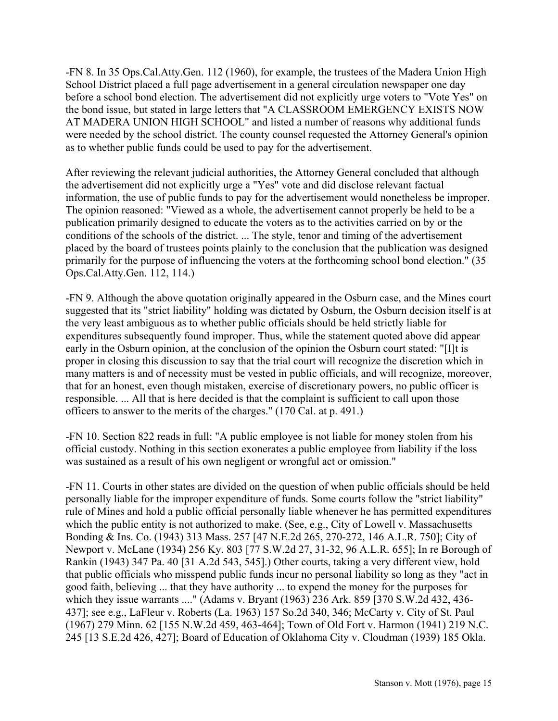-FN 8. In 35 Ops.Cal.Atty.Gen. 112 (1960), for example, the trustees of the Madera Union High School District placed a full page advertisement in a general circulation newspaper one day before a school bond election. The advertisement did not explicitly urge voters to "Vote Yes" on the bond issue, but stated in large letters that "A CLASSROOM EMERGENCY EXISTS NOW AT MADERA UNION HIGH SCHOOL" and listed a number of reasons why additional funds were needed by the school district. The county counsel requested the Attorney General's opinion as to whether public funds could be used to pay for the advertisement.

After reviewing the relevant judicial authorities, the Attorney General concluded that although the advertisement did not explicitly urge a "Yes" vote and did disclose relevant factual information, the use of public funds to pay for the advertisement would nonetheless be improper. The opinion reasoned: "Viewed as a whole, the advertisement cannot properly be held to be a publication primarily designed to educate the voters as to the activities carried on by or the conditions of the schools of the district. ... The style, tenor and timing of the advertisement placed by the board of trustees points plainly to the conclusion that the publication was designed primarily for the purpose of influencing the voters at the forthcoming school bond election." (35 Ops.Cal.Atty.Gen. 112, 114.)

-FN 9. Although the above quotation originally appeared in the Osburn case, and the Mines court suggested that its "strict liability" holding was dictated by Osburn, the Osburn decision itself is at the very least ambiguous as to whether public officials should be held strictly liable for expenditures subsequently found improper. Thus, while the statement quoted above did appear early in the Osburn opinion, at the conclusion of the opinion the Osburn court stated: "[I]t is proper in closing this discussion to say that the trial court will recognize the discretion which in many matters is and of necessity must be vested in public officials, and will recognize, moreover, that for an honest, even though mistaken, exercise of discretionary powers, no public officer is responsible. ... All that is here decided is that the complaint is sufficient to call upon those officers to answer to the merits of the charges." (170 Cal. at p. 491.)

-FN 10. Section 822 reads in full: "A public employee is not liable for money stolen from his official custody. Nothing in this section exonerates a public employee from liability if the loss was sustained as a result of his own negligent or wrongful act or omission."

-FN 11. Courts in other states are divided on the question of when public officials should be held personally liable for the improper expenditure of funds. Some courts follow the "strict liability" rule of Mines and hold a public official personally liable whenever he has permitted expenditures which the public entity is not authorized to make. (See, e.g., City of Lowell v. Massachusetts Bonding & Ins. Co. (1943) 313 Mass. 257 [47 N.E.2d 265, 270-272, 146 A.L.R. 750]; City of Newport v. McLane (1934) 256 Ky. 803 [77 S.W.2d 27, 31-32, 96 A.L.R. 655]; In re Borough of Rankin (1943) 347 Pa. 40 [31 A.2d 543, 545].) Other courts, taking a very different view, hold that public officials who misspend public funds incur no personal liability so long as they "act in good faith, believing ... that they have authority ... to expend the money for the purposes for which they issue warrants ...." (Adams v. Bryant (1963) 236 Ark. 859 [370 S.W.2d 432, 436- 437]; see e.g., LaFleur v. Roberts (La. 1963) 157 So.2d 340, 346; McCarty v. City of St. Paul (1967) 279 Minn. 62 [155 N.W.2d 459, 463-464]; Town of Old Fort v. Harmon (1941) 219 N.C. 245 [13 S.E.2d 426, 427]; Board of Education of Oklahoma City v. Cloudman (1939) 185 Okla.